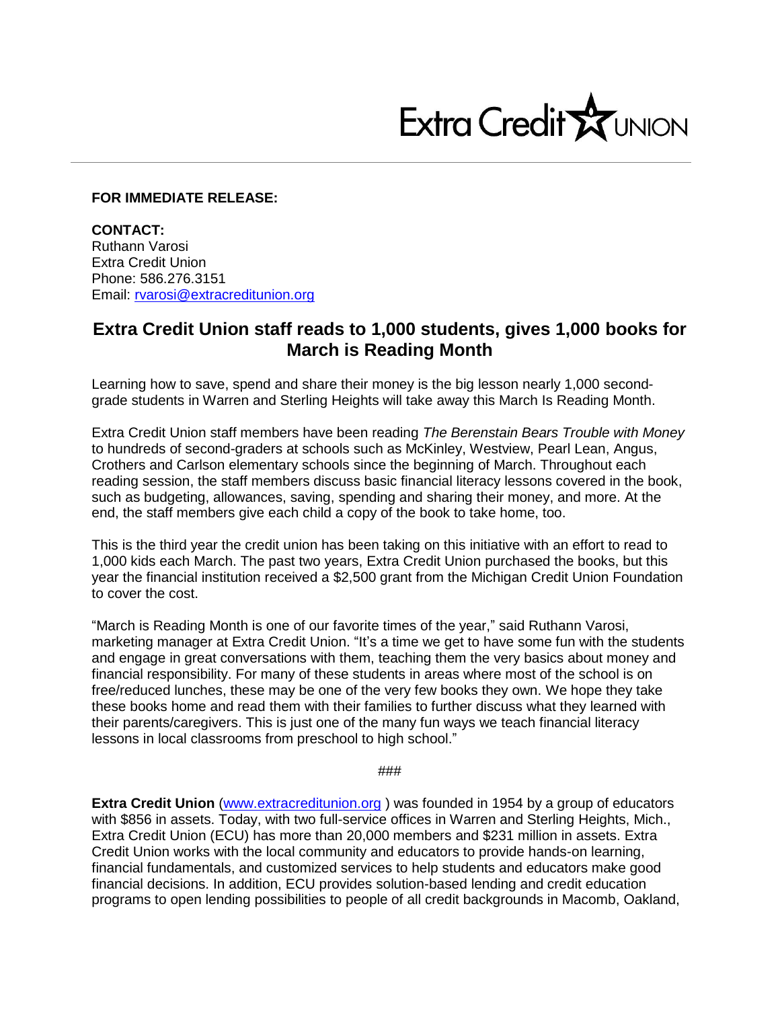

## **FOR IMMEDIATE RELEASE:**

**CONTACT:** Ruthann Varosi Extra Credit Union Phone: 586.276.3151 Email: [rvarosi@extracreditunion.org](mailto:rvarosi@extracreditunion.org)

## **Extra Credit Union staff reads to 1,000 students, gives 1,000 books for March is Reading Month**

Learning how to save, spend and share their money is the big lesson nearly 1,000 secondgrade students in Warren and Sterling Heights will take away this March Is Reading Month.

Extra Credit Union staff members have been reading *The Berenstain Bears Trouble with Money* to hundreds of second-graders at schools such as McKinley, Westview, Pearl Lean, Angus, Crothers and Carlson elementary schools since the beginning of March. Throughout each reading session, the staff members discuss basic financial literacy lessons covered in the book, such as budgeting, allowances, saving, spending and sharing their money, and more. At the end, the staff members give each child a copy of the book to take home, too.

This is the third year the credit union has been taking on this initiative with an effort to read to 1,000 kids each March. The past two years, Extra Credit Union purchased the books, but this year the financial institution received a \$2,500 grant from the Michigan Credit Union Foundation to cover the cost.

"March is Reading Month is one of our favorite times of the year," said Ruthann Varosi, marketing manager at Extra Credit Union. "It's a time we get to have some fun with the students and engage in great conversations with them, teaching them the very basics about money and financial responsibility. For many of these students in areas where most of the school is on free/reduced lunches, these may be one of the very few books they own. We hope they take these books home and read them with their families to further discuss what they learned with their parents/caregivers. This is just one of the many fun ways we teach financial literacy lessons in local classrooms from preschool to high school."

###

**Extra Credit Union** [\(www.extracreditunion.org](http://www.extracreditunion.org/) ) was founded in 1954 by a group of educators with \$856 in assets. Today, with two full-service offices in Warren and Sterling Heights, Mich., Extra Credit Union (ECU) has more than 20,000 members and \$231 million in assets. Extra Credit Union works with the local community and educators to provide hands-on learning, financial fundamentals, and customized services to help students and educators make good financial decisions. In addition, ECU provides solution-based lending and credit education programs to open lending possibilities to people of all credit backgrounds in Macomb, Oakland,